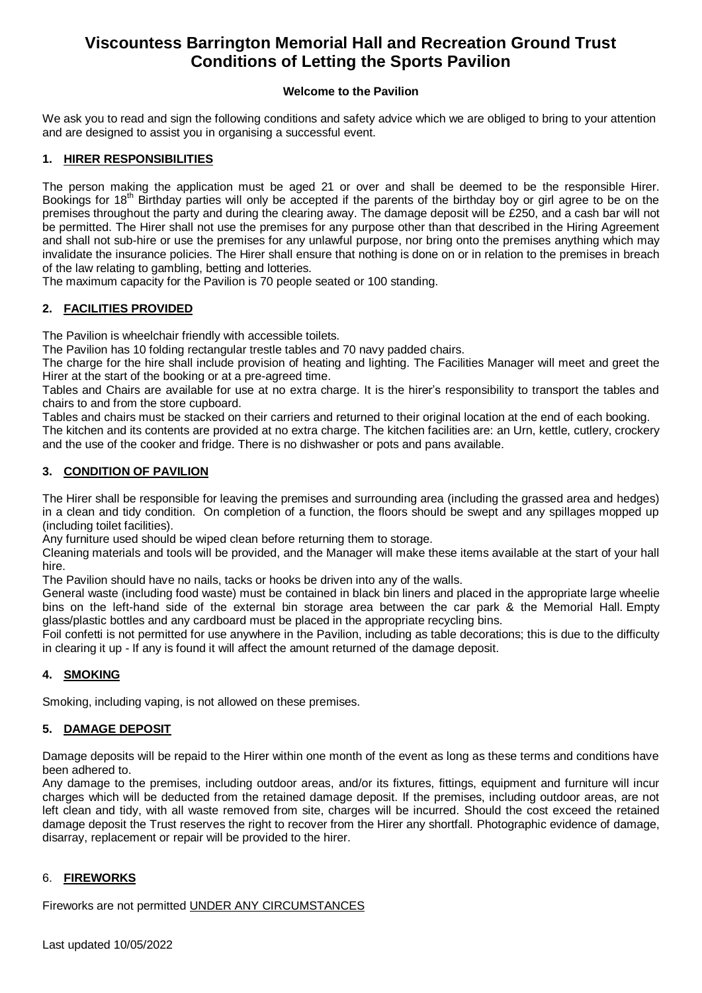# **Viscountess Barrington Memorial Hall and Recreation Ground Trust Conditions of Letting the Sports Pavilion**

# **Welcome to the Pavilion**

We ask you to read and sign the following conditions and safety advice which we are obliged to bring to your attention and are designed to assist you in organising a successful event.

# **1. HIRER RESPONSIBILITIES**

The person making the application must be aged 21 or over and shall be deemed to be the responsible Hirer. Bookings for 18<sup>th</sup> Birthday parties will only be accepted if the parents of the birthday boy or girl agree to be on the premises throughout the party and during the clearing away. The damage deposit will be £250, and a cash bar will not be permitted. The Hirer shall not use the premises for any purpose other than that described in the Hiring Agreement and shall not sub-hire or use the premises for any unlawful purpose, nor bring onto the premises anything which may invalidate the insurance policies. The Hirer shall ensure that nothing is done on or in relation to the premises in breach of the law relating to gambling, betting and lotteries.

The maximum capacity for the Pavilion is 70 people seated or 100 standing.

# **2. FACILITIES PROVIDED**

The Pavilion is wheelchair friendly with accessible toilets.

The Pavilion has 10 folding rectangular trestle tables and 70 navy padded chairs.

The charge for the hire shall include provision of heating and lighting. The Facilities Manager will meet and greet the Hirer at the start of the booking or at a pre-agreed time.

Tables and Chairs are available for use at no extra charge. It is the hirer's responsibility to transport the tables and chairs to and from the store cupboard.

Tables and chairs must be stacked on their carriers and returned to their original location at the end of each booking.

The kitchen and its contents are provided at no extra charge. The kitchen facilities are: an Urn, kettle, cutlery, crockery and the use of the cooker and fridge. There is no dishwasher or pots and pans available.

# **3. CONDITION OF PAVILION**

The Hirer shall be responsible for leaving the premises and surrounding area (including the grassed area and hedges) in a clean and tidy condition. On completion of a function, the floors should be swept and any spillages mopped up (including toilet facilities).

Any furniture used should be wiped clean before returning them to storage.

Cleaning materials and tools will be provided, and the Manager will make these items available at the start of your hall hire.

The Pavilion should have no nails, tacks or hooks be driven into any of the walls.

General waste (including food waste) must be contained in black bin liners and placed in the appropriate large wheelie bins on the left-hand side of the external bin storage area between the car park & the Memorial Hall. Empty glass/plastic bottles and any cardboard must be placed in the appropriate recycling bins.

Foil confetti is not permitted for use anywhere in the Pavilion, including as table decorations; this is due to the difficulty in clearing it up - If any is found it will affect the amount returned of the damage deposit.

# **4. SMOKING**

Smoking, including vaping, is not allowed on these premises.

# **5. DAMAGE DEPOSIT**

Damage deposits will be repaid to the Hirer within one month of the event as long as these terms and conditions have been adhered to.

Any damage to the premises, including outdoor areas, and/or its fixtures, fittings, equipment and furniture will incur charges which will be deducted from the retained damage deposit. If the premises, including outdoor areas, are not left clean and tidy, with all waste removed from site, charges will be incurred. Should the cost exceed the retained damage deposit the Trust reserves the right to recover from the Hirer any shortfall. Photographic evidence of damage, disarray, replacement or repair will be provided to the hirer.

# 6. **FIREWORKS**

Fireworks are not permitted UNDER ANY CIRCUMSTANCES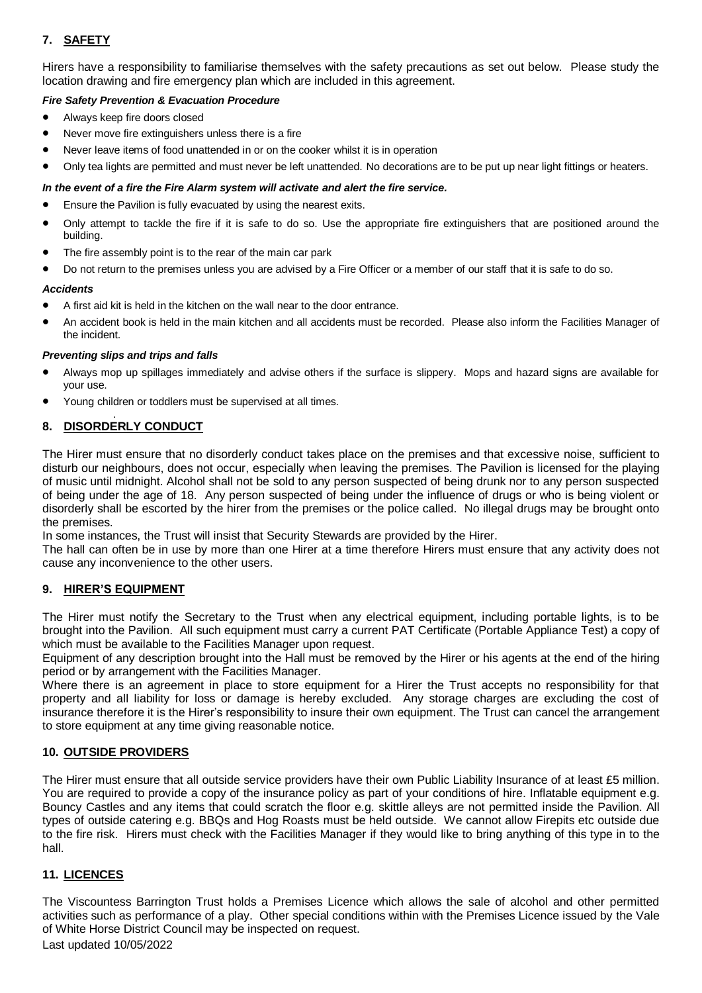# **7. SAFETY**

Hirers have a responsibility to familiarise themselves with the safety precautions as set out below. Please study the location drawing and fire emergency plan which are included in this agreement.

# *Fire Safety Prevention & Evacuation Procedure*

- Always keep fire doors closed
- Never move fire extinguishers unless there is a fire
- Never leave items of food unattended in or on the cooker whilst it is in operation
- Only tea lights are permitted and must never be left unattended. No decorations are to be put up near light fittings or heaters.

# *In the event of a fire the Fire Alarm system will activate and alert the fire service.*

- Ensure the Pavilion is fully evacuated by using the nearest exits.
- Only attempt to tackle the fire if it is safe to do so. Use the appropriate fire extinguishers that are positioned around the building.
- The fire assembly point is to the rear of the main car park
- Do not return to the premises unless you are advised by a Fire Officer or a member of our staff that it is safe to do so.

### *Accidents*

- A first aid kit is held in the kitchen on the wall near to the door entrance.
- An accident book is held in the main kitchen and all accidents must be recorded. Please also inform the Facilities Manager of the incident.

### *Preventing slips and trips and falls*

- Always mop up spillages immediately and advise others if the surface is slippery. Mops and hazard signs are available for your use.
- Young children or toddlers must be supervised at all times.

#### . **8. DISORDERLY CONDUCT**

The Hirer must ensure that no disorderly conduct takes place on the premises and that excessive noise, sufficient to disturb our neighbours, does not occur, especially when leaving the premises. The Pavilion is licensed for the playing of music until midnight. Alcohol shall not be sold to any person suspected of being drunk nor to any person suspected of being under the age of 18. Any person suspected of being under the influence of drugs or who is being violent or disorderly shall be escorted by the hirer from the premises or the police called. No illegal drugs may be brought onto the premises.

In some instances, the Trust will insist that Security Stewards are provided by the Hirer.

The hall can often be in use by more than one Hirer at a time therefore Hirers must ensure that any activity does not cause any inconvenience to the other users.

# **9. HIRER'S EQUIPMENT**

The Hirer must notify the Secretary to the Trust when any electrical equipment, including portable lights, is to be brought into the Pavilion. All such equipment must carry a current PAT Certificate (Portable Appliance Test) a copy of which must be available to the Facilities Manager upon request.

Equipment of any description brought into the Hall must be removed by the Hirer or his agents at the end of the hiring period or by arrangement with the Facilities Manager.

Where there is an agreement in place to store equipment for a Hirer the Trust accepts no responsibility for that property and all liability for loss or damage is hereby excluded. Any storage charges are excluding the cost of insurance therefore it is the Hirer's responsibility to insure their own equipment. The Trust can cancel the arrangement to store equipment at any time giving reasonable notice.

# **10. OUTSIDE PROVIDERS**

The Hirer must ensure that all outside service providers have their own Public Liability Insurance of at least £5 million. You are required to provide a copy of the insurance policy as part of your conditions of hire. Inflatable equipment e.g. Bouncy Castles and any items that could scratch the floor e.g. skittle alleys are not permitted inside the Pavilion. All types of outside catering e.g. BBQs and Hog Roasts must be held outside. We cannot allow Firepits etc outside due to the fire risk. Hirers must check with the Facilities Manager if they would like to bring anything of this type in to the hall.

# **11. LICENCES**

The Viscountess Barrington Trust holds a Premises Licence which allows the sale of alcohol and other permitted activities such as performance of a play. Other special conditions within with the Premises Licence issued by the Vale of White Horse District Council may be inspected on request.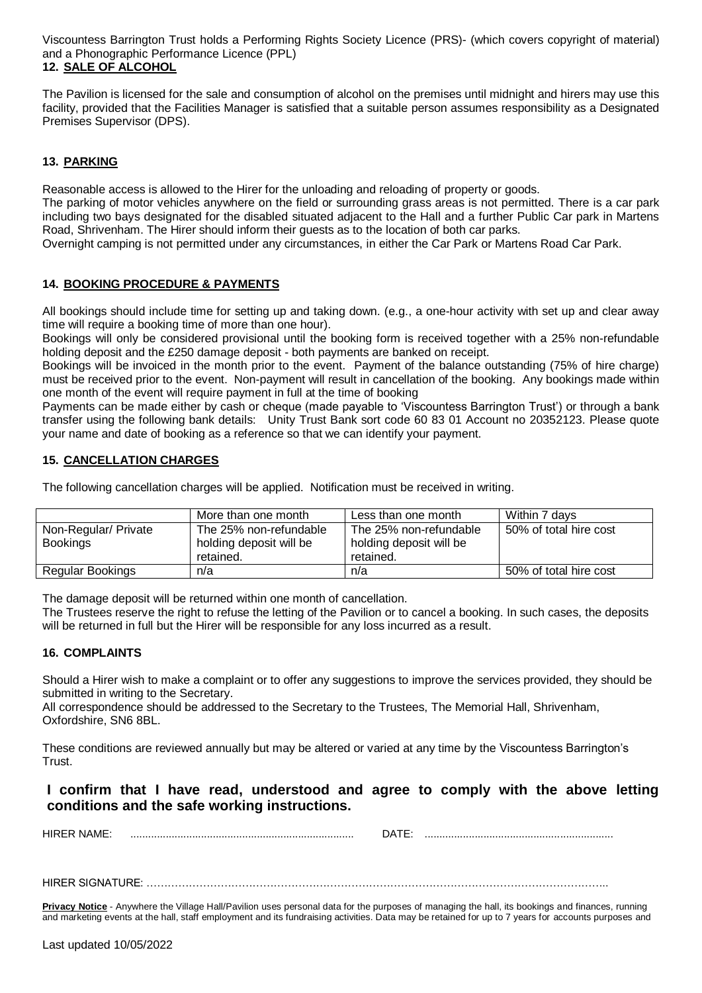Viscountess Barrington Trust holds a Performing Rights Society Licence (PRS)- (which covers copyright of material) and a Phonographic Performance Licence (PPL)

# **12. SALE OF ALCOHOL**

The Pavilion is licensed for the sale and consumption of alcohol on the premises until midnight and hirers may use this facility, provided that the Facilities Manager is satisfied that a suitable person assumes responsibility as a Designated Premises Supervisor (DPS).

# **13. PARKING**

Reasonable access is allowed to the Hirer for the unloading and reloading of property or goods.

The parking of motor vehicles anywhere on the field or surrounding grass areas is not permitted. There is a car park including two bays designated for the disabled situated adjacent to the Hall and a further Public Car park in Martens Road, Shrivenham. The Hirer should inform their guests as to the location of both car parks.

Overnight camping is not permitted under any circumstances, in either the Car Park or Martens Road Car Park.

# **14. BOOKING PROCEDURE & PAYMENTS**

All bookings should include time for setting up and taking down. (e.g., a one-hour activity with set up and clear away time will require a booking time of more than one hour).

Bookings will only be considered provisional until the booking form is received together with a 25% non-refundable holding deposit and the £250 damage deposit - both payments are banked on receipt.

Bookings will be invoiced in the month prior to the event. Payment of the balance outstanding (75% of hire charge) must be received prior to the event. Non-payment will result in cancellation of the booking. Any bookings made within one month of the event will require payment in full at the time of booking

Payments can be made either by cash or cheque (made payable to 'Viscountess Barrington Trust') or through a bank transfer using the following bank details: Unity Trust Bank sort code 60 83 01 Account no 20352123. Please quote your name and date of booking as a reference so that we can identify your payment.

# **15. CANCELLATION CHARGES**

The following cancellation charges will be applied. Notification must be received in writing.

|                      | More than one month     | Less than one month     | Within 7 davs          |
|----------------------|-------------------------|-------------------------|------------------------|
| Non-Regular/ Private | The 25% non-refundable  | The 25% non-refundable  | 50% of total hire cost |
| <b>Bookings</b>      | holding deposit will be | holding deposit will be |                        |
|                      | retained                | retained.               |                        |
| Regular Bookings     | n/a                     | n/a                     | 50% of total hire cost |

The damage deposit will be returned within one month of cancellation.

The Trustees reserve the right to refuse the letting of the Pavilion or to cancel a booking. In such cases, the deposits will be returned in full but the Hirer will be responsible for any loss incurred as a result.

# **16. COMPLAINTS**

Should a Hirer wish to make a complaint or to offer any suggestions to improve the services provided, they should be submitted in writing to the Secretary.

All correspondence should be addressed to the Secretary to the Trustees, The Memorial Hall, Shrivenham, Oxfordshire, SN6 8BL.

These conditions are reviewed annually but may be altered or varied at any time by the Viscountess Barrington's Trust.

# **I confirm that I have read, understood and agree to comply with the above letting conditions and the safe working instructions.**

HIRER NAME: ............................................................................ DATE: ................................................................

HIRER SIGNATURE: …………………………………………………………………………………………………………………..

**Privacy Notice** - Anywhere the Village Hall/Pavilion uses personal data for the purposes of managing the hall, its bookings and finances, running and marketing events at the hall, staff employment and its fundraising activities. Data may be retained for up to 7 years for accounts purposes and